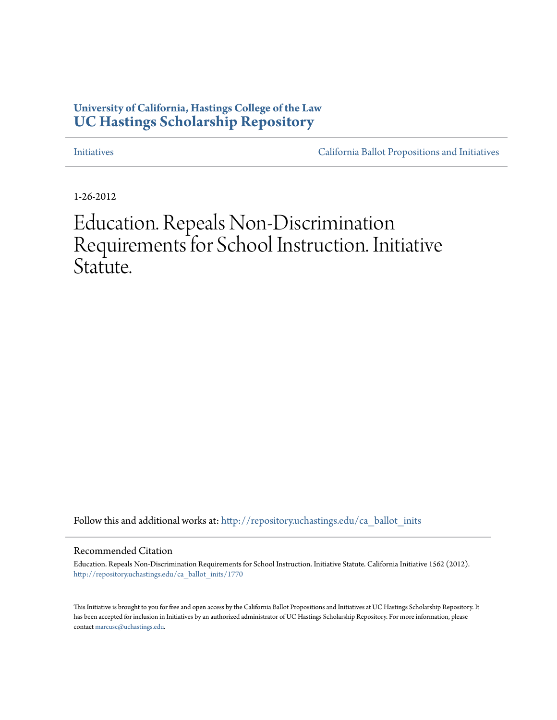# **University of California, Hastings College of the Law [UC Hastings Scholarship Repository](http://repository.uchastings.edu?utm_source=repository.uchastings.edu%2Fca_ballot_inits%2F1770&utm_medium=PDF&utm_campaign=PDFCoverPages)**

[Initiatives](http://repository.uchastings.edu/ca_ballot_inits?utm_source=repository.uchastings.edu%2Fca_ballot_inits%2F1770&utm_medium=PDF&utm_campaign=PDFCoverPages) [California Ballot Propositions and Initiatives](http://repository.uchastings.edu/ca_ballots?utm_source=repository.uchastings.edu%2Fca_ballot_inits%2F1770&utm_medium=PDF&utm_campaign=PDFCoverPages)

1-26-2012

# Education. Repeals Non-Discrimination Requirements for School Instruction. Initiative Statute.

Follow this and additional works at: [http://repository.uchastings.edu/ca\\_ballot\\_inits](http://repository.uchastings.edu/ca_ballot_inits?utm_source=repository.uchastings.edu%2Fca_ballot_inits%2F1770&utm_medium=PDF&utm_campaign=PDFCoverPages)

#### Recommended Citation

Education. Repeals Non-Discrimination Requirements for School Instruction. Initiative Statute. California Initiative 1562 (2012). [http://repository.uchastings.edu/ca\\_ballot\\_inits/1770](http://repository.uchastings.edu/ca_ballot_inits/1770?utm_source=repository.uchastings.edu%2Fca_ballot_inits%2F1770&utm_medium=PDF&utm_campaign=PDFCoverPages)

This Initiative is brought to you for free and open access by the California Ballot Propositions and Initiatives at UC Hastings Scholarship Repository. It has been accepted for inclusion in Initiatives by an authorized administrator of UC Hastings Scholarship Repository. For more information, please contact [marcusc@uchastings.edu](mailto:marcusc@uchastings.edu).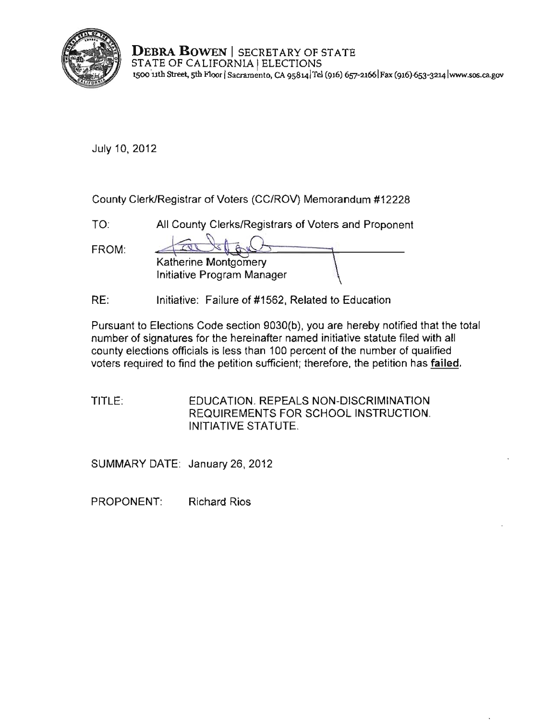

**DEBRA BOWEN** I SECRETARY OF STATE STATE OF CALIFORNIA | ELECTIONS **l500 -11th Street, 5th F100r ISacramento, CA 9S8141TeI (916) 657-21661 Fax (91616s3-32L4 lwww.sos.ca..gov** 

July 10, 2012

County Clerk/Registrar of Voters (CC/ROV) Memorandum #12228

TO: All County Clerks/Registrars of Voters and Proponent

| FROM: |                            |  |
|-------|----------------------------|--|
|       | Katherine Montgomery       |  |
|       | Initiative Program Manager |  |

RE: Initiative: Failure of #1562, Related to Education

Pursuant to Elections Code section 9030(b), you are hereby notified that the total number of signatures for the hereinafter named initiative statute filed with all county elections officials is less than 100 percent of the number of qualified voters required to find the petition sufficient; therefore, the petition has **failed,** 

TITLE: EDUCATION. REPEALS NON-DISCRIMINATION REQUIREMENTS FOR SCHOOL INSTRUCTION. INITIATIVE STATUTE.

SUMMARY DATE: January 26, 2012

PROPONENT: Richard Rios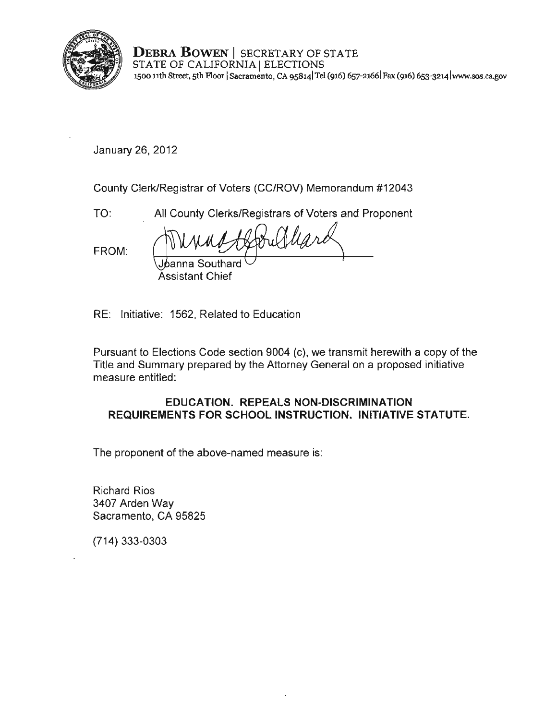

**DEBRA BOWEN** I SECRETARY OF STATE STATE OF CALIFORNIA | ELECTIONS 1500 11th Street, 5th Floor | Sacramento, CA 95814 Tel (916) 657-2166 Fax (916) 653-3214 www.sos.ca.gov

January 26,2012

County Clerk/Registrar of Voters (CC/ROV) Memorandum #12043

TO: All County Clerks/Registrars of Voters and Proponent

FROM:

~ Assistant Chief

RE: Initiative: 1562, Related to Education

Pursuant to Elections Code section 9004 (c), we transmit herewith a copy of the Title and Summary prepared by the Attorney General on a proposed initiative measure entitled:

#### **EDUCATION. REPEALS NON·DISCRIMINATION REQUIREMENTS FOR SCHOOL INSTRUCTION. INITIATIVE STATUTE.**

The proponent of the above·named measure is:

Richard Rios 3407 Arden Way Sacramento, CA 95825

(714) 333-0303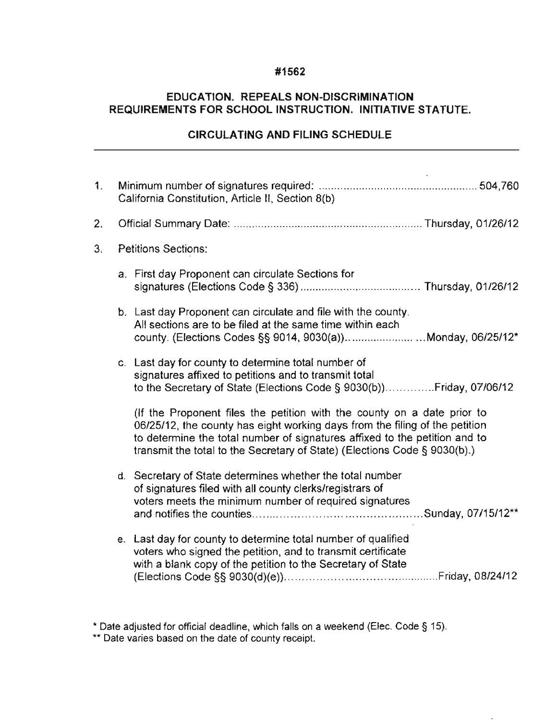#### **#1562**

### **EDUCATION. REPEALS NON-DISCRIMINATION REQUIREMENTS FOR SCHOOL INSTRUCTION. INITIATIVE STATUTE.**

### **CIRCULATING AND FILING SCHEDULE**

| $\mathbf{1}$ . | California Constitution, Article II, Section 8(b) |                                                                                                                                                                                                                                                                                                                   |  |
|----------------|---------------------------------------------------|-------------------------------------------------------------------------------------------------------------------------------------------------------------------------------------------------------------------------------------------------------------------------------------------------------------------|--|
| 2.             |                                                   |                                                                                                                                                                                                                                                                                                                   |  |
| 3 <sub>1</sub> | <b>Petitions Sections:</b>                        |                                                                                                                                                                                                                                                                                                                   |  |
|                |                                                   | a. First day Proponent can circulate Sections for                                                                                                                                                                                                                                                                 |  |
|                |                                                   | b. Last day Proponent can circulate and file with the county.<br>All sections are to be filed at the same time within each<br>county. (Elections Codes §§ 9014, 9030(a))Monday, 06/25/12*                                                                                                                         |  |
|                |                                                   | c. Last day for county to determine total number of<br>signatures affixed to petitions and to transmit total<br>to the Secretary of State (Elections Code § 9030(b))Friday, 07/06/12                                                                                                                              |  |
|                |                                                   | (If the Proponent files the petition with the county on a date prior to<br>06/25/12, the county has eight working days from the filing of the petition<br>to determine the total number of signatures affixed to the petition and to<br>transmit the total to the Secretary of State) (Elections Code § 9030(b).) |  |
|                |                                                   | d. Secretary of State determines whether the total number<br>of signatures filed with all county clerks/registrars of<br>voters meets the minimum number of required signatures                                                                                                                                   |  |
|                |                                                   | e. Last day for county to determine total number of qualified<br>voters who signed the petition, and to transmit certificate<br>with a blank copy of the petition to the Secretary of State                                                                                                                       |  |

<sup>&</sup>quot; Date adjusted for official deadline, which falls on a weekend (Elec. Code § 15).

**<sup>• \*</sup> Date varies based on the date of county receipt.**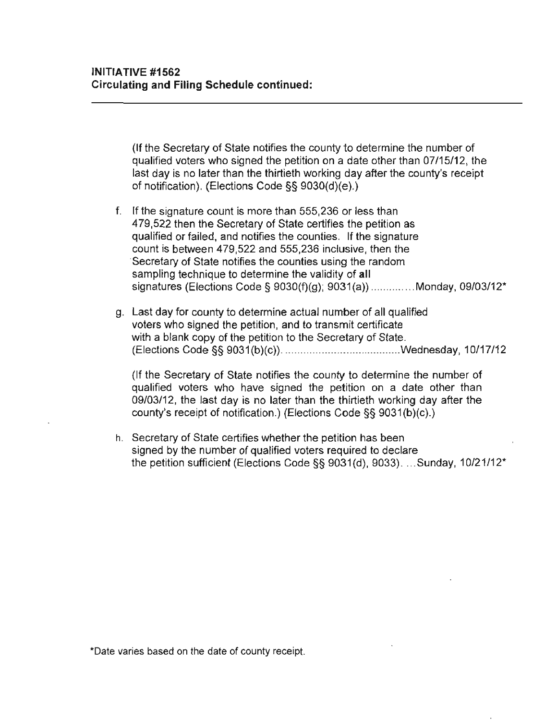(If the Secretary of State notifies the county to determine the number of qualified voters who signed the petition on a date other than 07/15/12, the last day is no later than the thirtieth working day after the county's receipt of notification). (Elections Code §§ 9030(d)(e).)

- f. If the signature count is more than 555,236 or less than 479,522 then the Secretary of State certifies the petition as qualified or failed, and notifies the counties. If the signature count is between 479,522 and 555,236 inclusive, then the **·Secretary of State notifies the counties using the random**  sampling technique to determine the validity of **all**  signatures (Elections Code § 9030(f)(g); 9031(a)) .............. Monday, 09/03/12\*
- g. Last day for county to determine actual number of all qualified voters who signed the petition, and to transmit certificate with a blank copy of the petition to the Secretary of State. (Elections Code §§ 9031 (b)(c)) . ..... .. .............................. .wednesday, 10/17/12

(If the Secretary of State notifies the county to determine the number of qualified voters who have signed the petition on a date other than 09/03/12, the last day is no later than the thirtieth working day after the county's receipt of notification.) (Elections Code §§ 9031 (b)(c).)

h. Secretary of State certifies whether the petition has been signed by the number of qualified voters required to declare the petition sufficient (Elections Code §§ 9031(d), 9033) .... Sunday, 10/21/12'

**\*Date varies based on the date of county receipt.**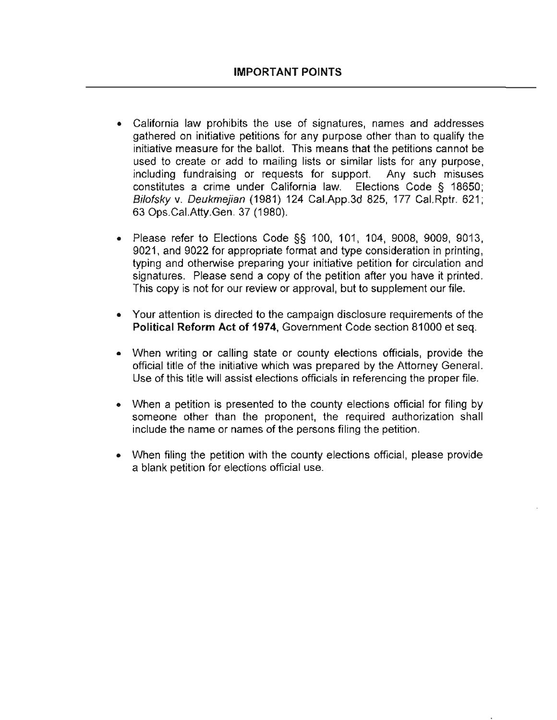- California law prohibits the use of signatures, names and addresses gathered on initiative petitions for any purpose other than to qualify the initiative measure for the ballot. This means that the petitions cannot be used to create or add to mailing lists or similar lists for any purpose, including fundraising or requests for support. Any such misuses constitutes a crime under California law. Elections Code § 18650; Bifatsky v. Oeukmejian (1981) 124 Cal.App.3d 825, 177 Cal.Rptr. 621; 63 Ops.CaI.Atty.Gen. 37 (1980).
- Please refer to Elections Code  $\S$ § 100, 101, 104, 9008, 9009, 9013, 9021, and 9022 for appropriate format and type consideration in printing, typing and otherwise preparing your initiative petition for circulation and signatures. Please send a copy of the petition after you have it printed. This copy is not for our review or approval, but to supplement our file.
- Your attention is directed to the campaign disclosure requirements of the Political **Reform Act of 1974,** Government Code section 81000 et seq.
- When writing or calling state or county elections officials, provide the official title of the initiative which was prepared by the Attorney General. Use of this title will assist elections officials in referencing the proper file.
- When a petition is presented to the county elections official for filing by someone other than the proponent, the required authorization shall **include the name or names of the persons filing the petition.**
- When filing the petition with the county elections official, please provide a blank petition for elections official use.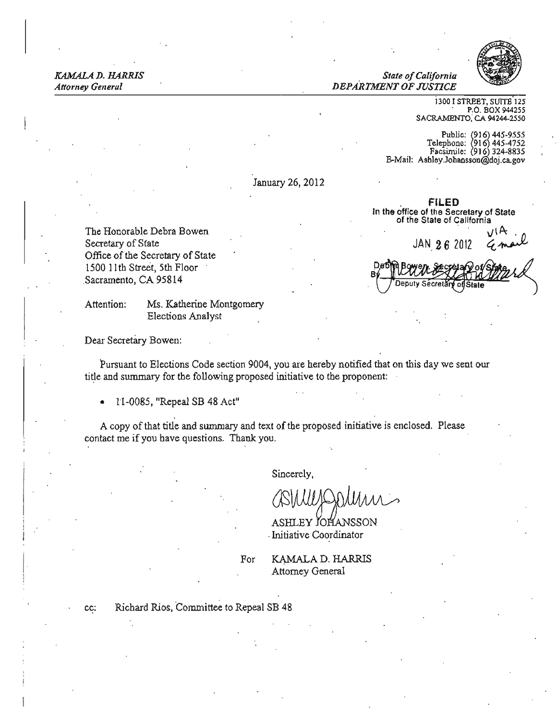KAMALA D. HARRIS *KAMALA D. HARRIS* 

*Attorney General*  $DEPARTMENT OF IUSTICE$ 



i300 I STREET, SUITE'12S P.O. BOX 944255 SACRAMENTO, CA 94244-2550

Public: (916) 445-9555<br>2753-145 Telephone: 1916  $\frac{22}{8}$ acsimile:  $(916)$  324-8835 E-Mail: Ashley.Johansson@doj.ca.gov

**FILED** n the office of the Secretary of State of the State of California

JAN  $262012$ 

Secrets

January 26, 2012

The Honorable Debra Bowen ~\p. . *n*  Secretary of State Office of the Secretary of State 1500 II th Street, 5th Floor Sacramento, CA 95814

Attention: Ms. Katherine Montgomery Elections Analyst

Dear Secretary Bowen:

Pursuant to Elections Code section 9004, you are hereby notified that on this day we sent our title and summary for the following proposed initiative to the proponent:

• 1l-0085, "Repeal SB 48 Act"

A copy of that title and summary and text of the proposed initiative is enclosed. Please contact me if you have questions. Thank you.

Sincerely,

ASHLEY JOHANSSON . Initiative Coordinator

For **KAMALA D. HARRIS** Attorney General

 $\overline{\phantom{a}}$ 

cc: Richard Rios, Committee to Repeal SB 48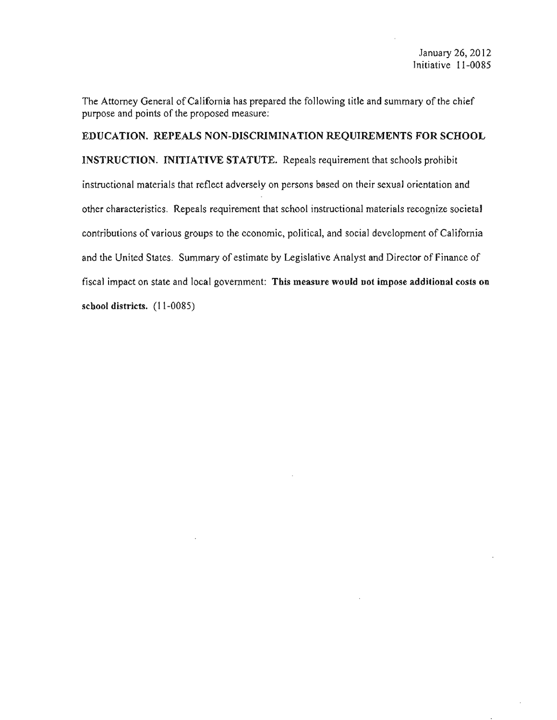The Attorney General of California has prepared the following title and summary of the chief purpose and points of the proposed measure:

EDUCATION. REPEALS NON-DISCRIMINATION REQUIREMENTS FOR SCHOOL INSTRUCTION. INITIATIVE STATUTE. Repeals requirement that schools prohibit instructional materials that reflect adversely on persons based on their sexual orientation and other characteristics. Repeals requirement that school instructional materials recognize societal contributions of various groups to the economic, political, and social development of California and the United States. Summary of estimate by Legislative Analyst and Director of Finance of fiscal impact on state and local government: This measure would not impose additional costs on school districts. (11-0085)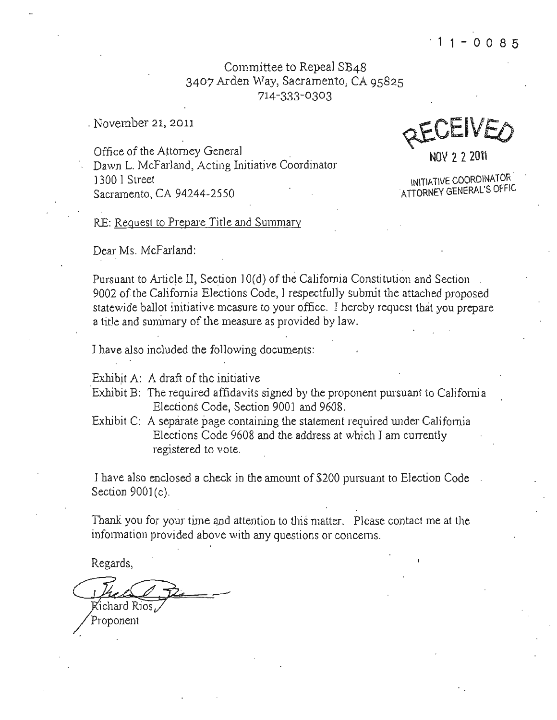Committee to Repeal SB48 3407 Arden Way, Sacramento, CA 95825 714-333-0303

. November 21, 2011

Office of the Attorney General Dawn L. McFarland, Acting Initiative Coordinator 1300 I Street **Initiative COORDINATOR** Sacramento, CA 94244-2550

QEUEIVEO

NOV 2 2 201\

RE: Request to Prepare Title and Summary

Dear Ms. McFarland:

Pursuant to Article II, Section 10(d) of the California Constitution and Section 9002 of.the California Elections Code, I respectfully submit the attached proposed statewide ballot initiative measure to your office, I hereby request that you prepare a title and sunimary of the measure as provided by law.

I have also included the following documents:

Exhibit A: A draft of the initiative

- 'Exhibit B: The required affidavits signed by the proponent pursuant to Califomia Elections Code, Section 9001 and 9608.
- Exhibit C: A separate page containing the statement required under California Elections Code 9608 and the address at which I am currently registered to vote.

J have also enclosed a check in the amount of \$200 pursuant to Election Code Section 9001(c).

Thank you for your time and attention to this matter. Please contact me at the information provided above with any questions or concerns.

Regards,

Richard Rios

Proponent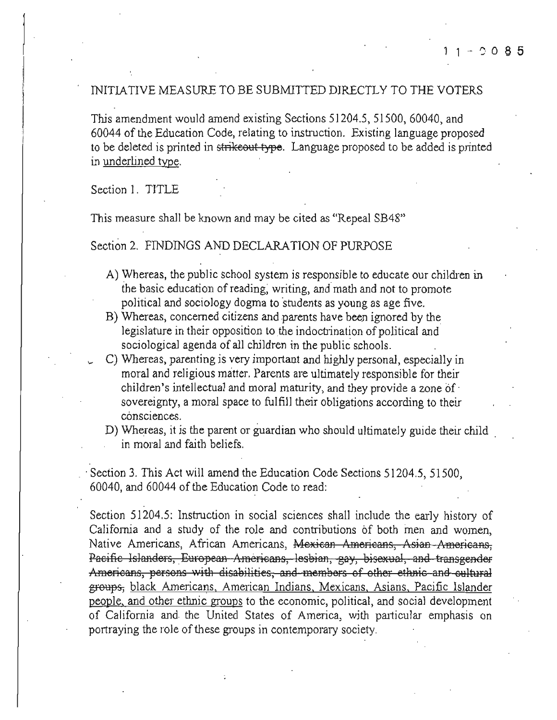#### INITIATIVE MEASURE TO BE SUBMITTED DIRECTLY TO THE VOTERS

This amendment would amend existing Sections 51204.5, 51500, 60040, and 60044 of the Education Code, relating to instruction. Existing language proposed to be deleted is printed in strikeout type. Language proposed to be added is printed in underlined type.

Section 1. TITLE

This measure shall be known and may be cited as "Repeal SB48"

#### Section 2. FINDINGS AND DECLARATION OF PURPOSE

- A) Whereas, the public school system is responsible to educate our children in the basic education of reading, writing, and math and not to promote political and sociology dogma to students as young as age five.
- B) Whereas, concerned citizens and parents have been ignored by the legislature in their opposition to the indoctrination of political and sociological agenda of all children in the public schools.
- C) Whereas, parenting is very important and highly personal, especially in moral and religious matter. Parents are ultimately responsible for their children's intellectual and moral maturity, and they provide a zone of sovereignty, a moral space to fulfill their obligations according to their consciences.
- D) Whereas, it is the parent or guardian who should ultimately guide their child in moral and faith beliefs.

Section 3. This Act will amend the Education Code Sections 51204.5, 51500, 60040, and 60044 of the Education Code to read:

Section 51204.5: Instruction in social sciences shall include the early history of California and a study of the role and contributions of both men and women, Native Americans, African Americans, Mexican Americans, Asian Americans, Pacific Islanders, European Americans, lesbian, gay, bisexual, and transgender Americans, persons with disabilities, and members of other ethnic and cultural groups, black Americans, American Indians, Mexicans, Asians, Pacific Islander people, and other ethnic groups to the economic, political, and social development of California and the United States of America, with particular emphasis on portraying the role of these groups in contemporary society.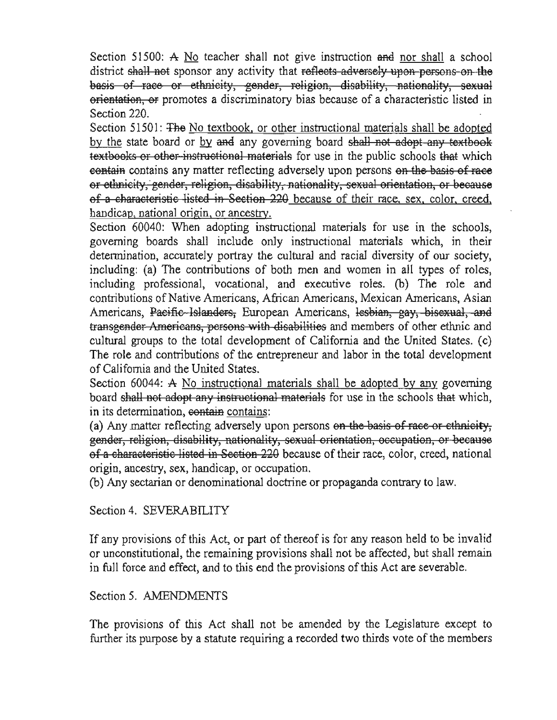Section 51500: A No teacher shall not give instruction and nor shall a school district shall not sponsor any activity that reflects adversely upon persons on the basis of race or ethnicity, gender, religion, disability, nationality, sexual orientation, or promotes a discriminatory bias because of a characteristic listed in Section 220.

Section 51501: The No textbook, or other instructional materials shall be adopted by the state board or by and any governing board shall not adopt any textbook textbooks or other instructional materials for use in the public schools that which contain contains any matter reflecting adversely upon persons on the basis of race or ethnicity, gender, religion, disability, nationality, sexual orientation, or because of a characteristic listed in Section 220 because of their race, sex, color, creed, handicap, national origin, or ancestry.

Section 60040: When adopting instructional materials for use in the schools, governing boards shall include only instructional materials which, in their determination, accurately portray the cultural and racial diversity of our society. including: (a) The contributions of both men and women in all types of roles, including professional, vocational, and executive roles. (b) The role and contributions of Native Americans, African Americans, Mexican Americans, Asian Americans, Pacific Islanders, European Americans, Iesbian, gay, bisexual, and transgender Americans, persons with disabilities and members of other ethnic and cultural groups to the total development of California and the United States. (c) The role and contributions of the entrepreneur and labor in the total development of California and the United States.

Section 60044: A No instructional materials shall be adopted by any governing board shall not adopt any instructional materials for use in the schools that which, in its determination, contain contains:

(a) Any matter reflecting adversely upon persons on the basis of race or ethnicity. gender, religion, disability, nationality, sexual orientation, occupation, or because of a characteristic listed in Section 220 because of their race, color, creed, national origin, ancestry, sex, handicap, or occupation.

(b) Any sectarian or denominational doctrine or propaganda contrary to law.

# Section 4. SEVERABILITY

If any provisions of this Act, or part of thereof is for any reason held to be invalid or unconstitutional, the remaining provisions shall not be affected, but shall remain in full force and effect, and to this end the provisions of this Act are severable.

## Section 5. AMENDMENTS

The provisions of this Act shall not be amended by the Legislature except to further its purpose by a statute requiring a recorded two thirds vote of the members